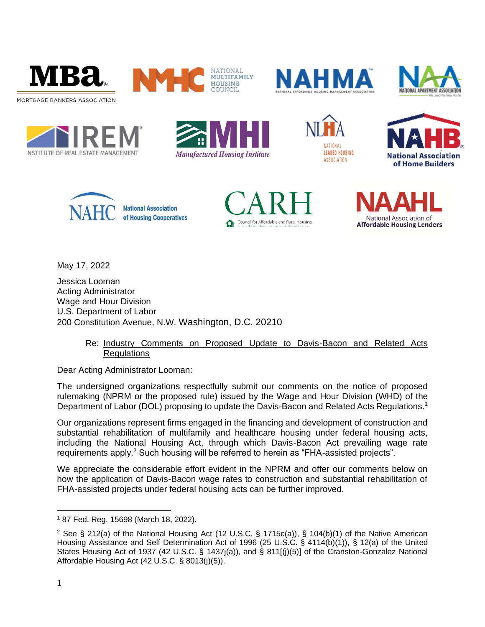





















May 17, 2022

Jessica Looman Acting Administrator Wage and Hour Division U.S. Department of Labor 200 Constitution Avenue, N.W. Washington, D.C. 20210

# Re: Industry Comments on Proposed Update to Davis-Bacon and Related Acts **Regulations**

Dear Acting Administrator Looman:

The undersigned organizations respectfully submit our comments on the notice of proposed rulemaking (NPRM or the proposed rule) issued by the Wage and Hour Division (WHD) of the Department of Labor (DOL) proposing to update the Davis-Bacon and Related Acts Regulations.<sup>1</sup>

Our organizations represent firms engaged in the financing and development of construction and substantial rehabilitation of multifamily and healthcare housing under federal housing acts, including the National Housing Act, through which Davis-Bacon Act prevailing wage rate requirements apply.<sup>2</sup> Such housing will be referred to herein as "FHA-assisted projects".

We appreciate the considerable effort evident in the NPRM and offer our comments below on how the application of Davis-Bacon wage rates to construction and substantial rehabilitation of FHA-assisted projects under federal housing acts can be further improved.

<sup>1</sup> 87 Fed. Reg. 15698 (March 18, 2022).

<sup>&</sup>lt;sup>2</sup> See § 212(a) of the National Housing Act (12 U.S.C. § 1715c(a)), § 104(b)(1) of the Native American Housing Assistance and Self Determination Act of 1996 (25 U.S.C. § 4114(b)(1)), § 12(a) of the United States Housing Act of 1937 (42 U.S.C. § 1437j(a)), and § 811[(j)(5)] of the Cranston-Gonzalez National Affordable Housing Act (42 U.S.C. § 8013(j)(5)).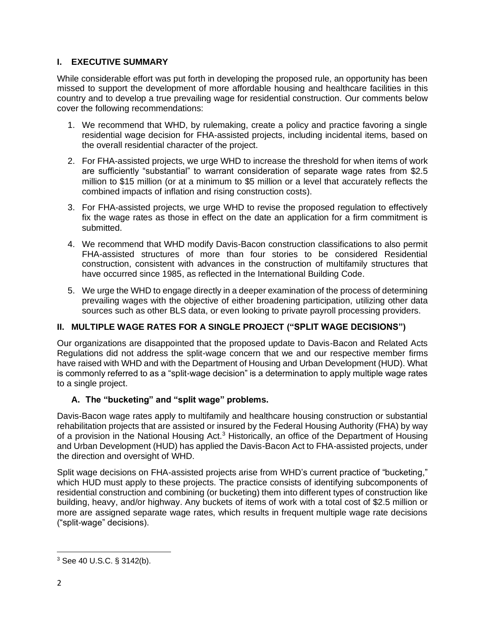# **I. EXECUTIVE SUMMARY**

While considerable effort was put forth in developing the proposed rule, an opportunity has been missed to support the development of more affordable housing and healthcare facilities in this country and to develop a true prevailing wage for residential construction. Our comments below cover the following recommendations:

- 1. We recommend that WHD, by rulemaking, create a policy and practice favoring a single residential wage decision for FHA-assisted projects, including incidental items, based on the overall residential character of the project.
- 2. For FHA-assisted projects, we urge WHD to increase the threshold for when items of work are sufficiently "substantial" to warrant consideration of separate wage rates from \$2.5 million to \$15 million (or at a minimum to \$5 million or a level that accurately reflects the combined impacts of inflation and rising construction costs).
- 3. For FHA-assisted projects, we urge WHD to revise the proposed regulation to effectively fix the wage rates as those in effect on the date an application for a firm commitment is submitted.
- 4. We recommend that WHD modify Davis-Bacon construction classifications to also permit FHA-assisted structures of more than four stories to be considered Residential construction, consistent with advances in the construction of multifamily structures that have occurred since 1985, as reflected in the International Building Code.
- 5. We urge the WHD to engage directly in a deeper examination of the process of determining prevailing wages with the objective of either broadening participation, utilizing other data sources such as other BLS data, or even looking to private payroll processing providers.

# **II. MULTIPLE WAGE RATES FOR A SINGLE PROJECT ("SPLIT WAGE DECISIONS")**

Our organizations are disappointed that the proposed update to Davis-Bacon and Related Acts Regulations did not address the split-wage concern that we and our respective member firms have raised with WHD and with the Department of Housing and Urban Development (HUD). What is commonly referred to as a "split-wage decision" is a determination to apply multiple wage rates to a single project.

# **A. The "bucketing" and "split wage" problems.**

Davis-Bacon wage rates apply to multifamily and healthcare housing construction or substantial rehabilitation projects that are assisted or insured by the Federal Housing Authority (FHA) by way of a provision in the National Housing Act.<sup>3</sup> Historically, an office of the Department of Housing and Urban Development (HUD) has applied the Davis-Bacon Act to FHA-assisted projects, under the direction and oversight of WHD.

Split wage decisions on FHA-assisted projects arise from WHD's current practice of "bucketing," which HUD must apply to these projects. The practice consists of identifying subcomponents of residential construction and combining (or bucketing) them into different types of construction like building, heavy, and/or highway. Any buckets of items of work with a total cost of \$2.5 million or more are assigned separate wage rates, which results in frequent multiple wage rate decisions ("split-wage" decisions).

<sup>3</sup> See 40 U.S.C. § 3142(b).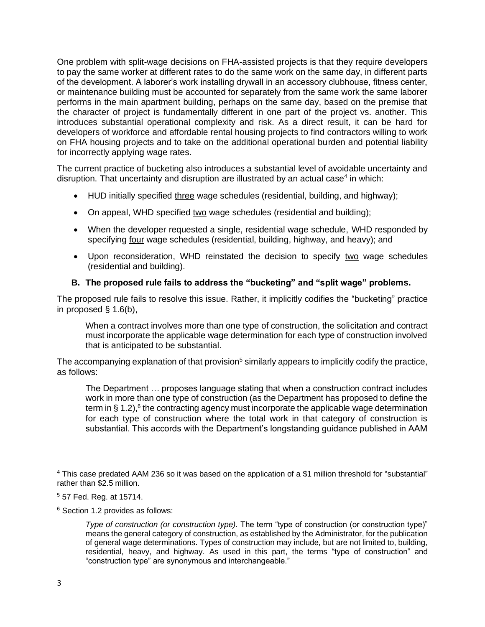One problem with split-wage decisions on FHA-assisted projects is that they require developers to pay the same worker at different rates to do the same work on the same day, in different parts of the development. A laborer's work installing drywall in an accessory clubhouse, fitness center, or maintenance building must be accounted for separately from the same work the same laborer performs in the main apartment building, perhaps on the same day, based on the premise that the character of project is fundamentally different in one part of the project vs. another. This introduces substantial operational complexity and risk. As a direct result, it can be hard for developers of workforce and affordable rental housing projects to find contractors willing to work on FHA housing projects and to take on the additional operational burden and potential liability for incorrectly applying wage rates.

The current practice of bucketing also introduces a substantial level of avoidable uncertainty and disruption. That uncertainty and disruption are illustrated by an actual case<sup>4</sup> in which:

- HUD initially specified three wage schedules (residential, building, and highway);
- On appeal, WHD specified two wage schedules (residential and building);
- When the developer requested a single, residential wage schedule, WHD responded by specifying four wage schedules (residential, building, highway, and heavy); and
- Upon reconsideration, WHD reinstated the decision to specify two wage schedules (residential and building).

# **B. The proposed rule fails to address the "bucketing" and "split wage" problems.**

The proposed rule fails to resolve this issue. Rather, it implicitly codifies the "bucketing" practice in proposed § 1.6(b),

When a contract involves more than one type of construction, the solicitation and contract must incorporate the applicable wage determination for each type of construction involved that is anticipated to be substantial.

The accompanying explanation of that provision<sup>5</sup> similarly appears to implicitly codify the practice, as follows:

The Department … proposes language stating that when a construction contract includes work in more than one type of construction (as the Department has proposed to define the term in  $\S 1.2$ ),<sup>6</sup> the contracting agency must incorporate the applicable wage determination for each type of construction where the total work in that category of construction is substantial. This accords with the Department's longstanding guidance published in AAM

<sup>6</sup> Section 1.2 provides as follows:

<sup>4</sup> This case predated AAM 236 so it was based on the application of a \$1 million threshold for "substantial" rather than \$2.5 million.

<sup>5</sup> 57 Fed. Reg. at 15714.

*Type of construction (or construction type).* The term "type of construction (or construction type)" means the general category of construction, as established by the Administrator, for the publication of general wage determinations. Types of construction may include, but are not limited to, building, residential, heavy, and highway. As used in this part, the terms "type of construction" and "construction type" are synonymous and interchangeable."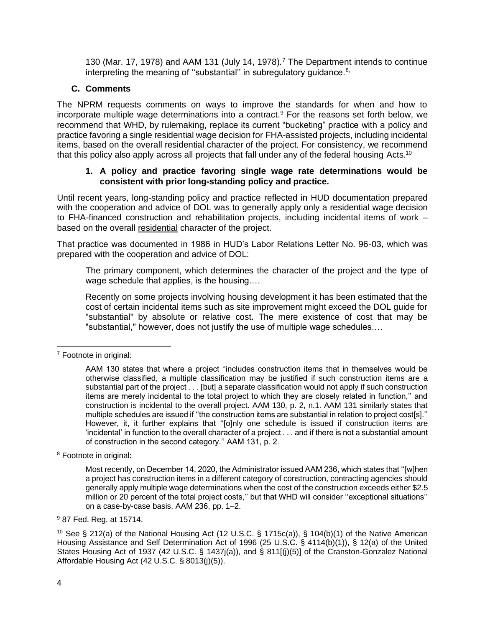130 (Mar. 17, 1978) and AAM 131 (July 14, 1978).<sup>7</sup> The Department intends to continue interpreting the meaning of "substantial" in subregulatory guidance. $8$ ,

# **C. Comments**

The NPRM requests comments on ways to improve the standards for when and how to incorporate multiple wage determinations into a contract.<sup>9</sup> For the reasons set forth below, we recommend that WHD, by rulemaking, replace its current "bucketing" practice with a policy and practice favoring a single residential wage decision for FHA-assisted projects, including incidental items, based on the overall residential character of the project. For consistency, we recommend that this policy also apply across all projects that fall under any of the federal housing Acts.<sup>10</sup>

#### **1. A policy and practice favoring single wage rate determinations would be consistent with prior long-standing policy and practice.**

Until recent years, long-standing policy and practice reflected in HUD documentation prepared with the cooperation and advice of DOL was to generally apply only a residential wage decision to FHA-financed construction and rehabilitation projects, including incidental items of work – based on the overall residential character of the project.

That practice was documented in 1986 in HUD's Labor Relations Letter No. 96-03, which was prepared with the cooperation and advice of DOL:

The primary component, which determines the character of the project and the type of wage schedule that applies, is the housing.…

Recently on some projects involving housing development it has been estimated that the cost of certain incidental items such as site improvement might exceed the DOL guide for "substantial" by absolute or relative cost. The mere existence of cost that may be "substantial," however, does not justify the use of multiple wage schedules.…

<sup>8</sup> Footnote in original:

<sup>7</sup> Footnote in original:

AAM 130 states that where a project ''includes construction items that in themselves would be otherwise classified, a multiple classification may be justified if such construction items are a substantial part of the project . . . [but] a separate classification would not apply if such construction items are merely incidental to the total project to which they are closely related in function,'' and construction is incidental to the overall project. AAM 130, p. 2, n.1. AAM 131 similarly states that multiple schedules are issued if ''the construction items are substantial in relation to project cost[s].'' However, it, it further explains that ''[o]nly one schedule is issued if construction items are 'incidental' in function to the overall character of a project . . . and if there is not a substantial amount of construction in the second category.'' AAM 131, p. 2.

Most recently, on December 14, 2020, the Administrator issued AAM 236, which states that ''[w]hen a project has construction items in a different category of construction, contracting agencies should generally apply multiple wage determinations when the cost of the construction exceeds either \$2.5 million or 20 percent of the total project costs," but that WHD will consider "exceptional situations" on a case-by-case basis. AAM 236, pp. 1–2.

<sup>9</sup> 87 Fed. Reg. at 15714.

<sup>&</sup>lt;sup>10</sup> See § 212(a) of the National Housing Act (12 U.S.C. § 1715c(a)), § 104(b)(1) of the Native American Housing Assistance and Self Determination Act of 1996 (25 U.S.C. § 4114(b)(1)), § 12(a) of the United States Housing Act of 1937 (42 U.S.C. § 1437j(a)), and § 811[(j)(5)] of the Cranston-Gonzalez National Affordable Housing Act (42 U.S.C. § 8013(j)(5)).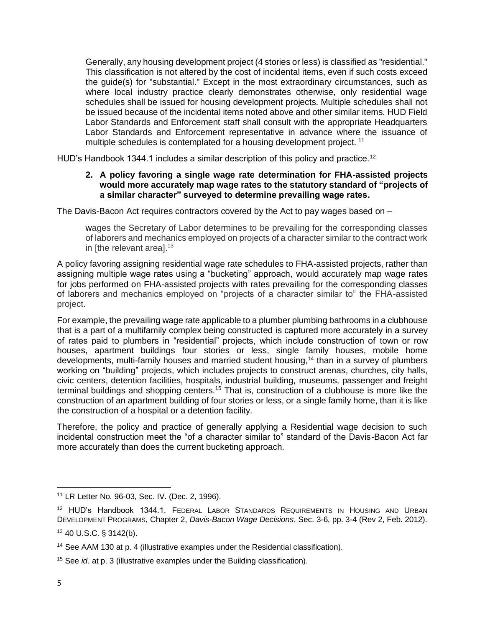Generally, any housing development project (4 stories or less) is classified as "residential." This classification is not altered by the cost of incidental items, even if such costs exceed the guide(s) for "substantial." Except in the most extraordinary circumstances, such as where local industry practice clearly demonstrates otherwise, only residential wage schedules shall be issued for housing development projects. Multiple schedules shall not be issued because of the incidental items noted above and other similar items. HUD Field Labor Standards and Enforcement staff shall consult with the appropriate Headquarters Labor Standards and Enforcement representative in advance where the issuance of multiple schedules is contemplated for a housing development project.<sup>11</sup>

HUD's Handbook 1344.1 includes a similar description of this policy and practice.<sup>12</sup>

#### **2. A policy favoring a single wage rate determination for FHA-assisted projects would more accurately map wage rates to the statutory standard of "projects of a similar character" surveyed to determine prevailing wage rates.**

The Davis-Bacon Act requires contractors covered by the Act to pay wages based on –

wages the Secretary of Labor determines to be prevailing for the corresponding classes of laborers and mechanics employed on projects of a character similar to the contract work in [the relevant area].<sup>13</sup>

A policy favoring assigning residential wage rate schedules to FHA-assisted projects, rather than assigning multiple wage rates using a "bucketing" approach, would accurately map wage rates for jobs performed on FHA-assisted projects with rates prevailing for the corresponding classes of laborers and mechanics employed on "projects of a character similar to" the FHA-assisted project.

For example, the prevailing wage rate applicable to a plumber plumbing bathrooms in a clubhouse that is a part of a multifamily complex being constructed is captured more accurately in a survey of rates paid to plumbers in "residential" projects, which include construction of town or row houses, apartment buildings four stories or less, single family houses, mobile home developments, multi-family houses and married student housing,<sup>14</sup> than in a survey of plumbers working on "building" projects, which includes projects to construct arenas, churches, city halls, civic centers, detention facilities, hospitals, industrial building, museums, passenger and freight terminal buildings and shopping centers.<sup>15</sup> That is, construction of a clubhouse is more like the construction of an apartment building of four stories or less, or a single family home, than it is like the construction of a hospital or a detention facility.

Therefore, the policy and practice of generally applying a Residential wage decision to such incidental construction meet the "of a character similar to" standard of the Davis-Bacon Act far more accurately than does the current bucketing approach.

<sup>11</sup> LR Letter No. 96-03, Sec. IV. (Dec. 2, 1996).

<sup>12</sup> HUD's Handbook 1344.1, FEDERAL LABOR STANDARDS REQUIREMENTS IN HOUSING AND URBAN DEVELOPMENT PROGRAMS, Chapter 2, *Davis-Bacon Wage Decisions*, Sec. 3-6, pp. 3-4 (Rev 2, Feb. 2012).

<sup>13</sup> 40 U.S.C. § 3142(b).

<sup>14</sup> See AAM 130 at p. 4 (illustrative examples under the Residential classification).

<sup>15</sup> See *id*. at p. 3 (illustrative examples under the Building classification).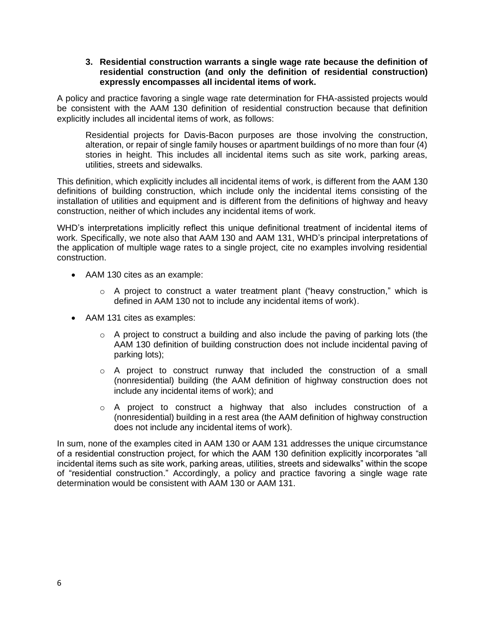#### **3. Residential construction warrants a single wage rate because the definition of residential construction (and only the definition of residential construction) expressly encompasses all incidental items of work.**

A policy and practice favoring a single wage rate determination for FHA-assisted projects would be consistent with the AAM 130 definition of residential construction because that definition explicitly includes all incidental items of work, as follows:

Residential projects for Davis-Bacon purposes are those involving the construction, alteration, or repair of single family houses or apartment buildings of no more than four (4) stories in height. This includes all incidental items such as site work, parking areas, utilities, streets and sidewalks.

This definition, which explicitly includes all incidental items of work, is different from the AAM 130 definitions of building construction, which include only the incidental items consisting of the installation of utilities and equipment and is different from the definitions of highway and heavy construction, neither of which includes any incidental items of work.

WHD's interpretations implicitly reflect this unique definitional treatment of incidental items of work. Specifically, we note also that AAM 130 and AAM 131, WHD's principal interpretations of the application of multiple wage rates to a single project, cite no examples involving residential construction.

- AAM 130 cites as an example:
	- $\circ$  A project to construct a water treatment plant ("heavy construction," which is defined in AAM 130 not to include any incidental items of work).
- AAM 131 cites as examples:
	- $\circ$  A project to construct a building and also include the paving of parking lots (the AAM 130 definition of building construction does not include incidental paving of parking lots);
	- $\circ$  A project to construct runway that included the construction of a small (nonresidential) building (the AAM definition of highway construction does not include any incidental items of work); and
	- $\circ$  A project to construct a highway that also includes construction of a (nonresidential) building in a rest area (the AAM definition of highway construction does not include any incidental items of work).

In sum, none of the examples cited in AAM 130 or AAM 131 addresses the unique circumstance of a residential construction project, for which the AAM 130 definition explicitly incorporates "all incidental items such as site work, parking areas, utilities, streets and sidewalks" within the scope of "residential construction." Accordingly, a policy and practice favoring a single wage rate determination would be consistent with AAM 130 or AAM 131.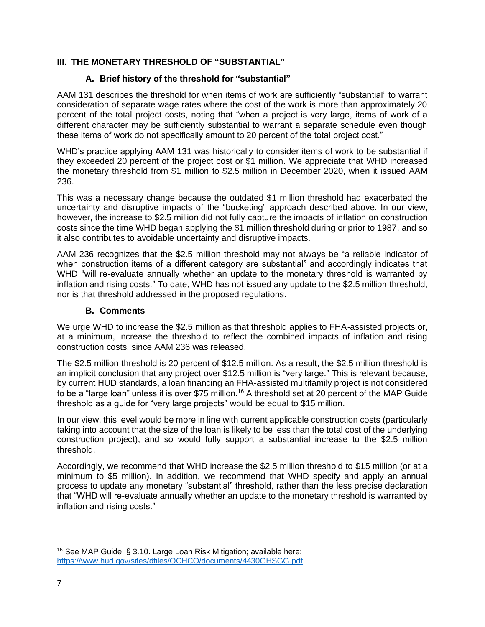# **III. THE MONETARY THRESHOLD OF "SUBSTANTIAL"**

# **A. Brief history of the threshold for "substantial"**

AAM 131 describes the threshold for when items of work are sufficiently "substantial" to warrant consideration of separate wage rates where the cost of the work is more than approximately 20 percent of the total project costs, noting that "when a project is very large, items of work of a different character may be sufficiently substantial to warrant a separate schedule even though these items of work do not specifically amount to 20 percent of the total project cost."

WHD's practice applying AAM 131 was historically to consider items of work to be substantial if they exceeded 20 percent of the project cost or \$1 million. We appreciate that WHD increased the monetary threshold from \$1 million to \$2.5 million in December 2020, when it issued AAM 236.

This was a necessary change because the outdated \$1 million threshold had exacerbated the uncertainty and disruptive impacts of the "bucketing" approach described above. In our view, however, the increase to \$2.5 million did not fully capture the impacts of inflation on construction costs since the time WHD began applying the \$1 million threshold during or prior to 1987, and so it also contributes to avoidable uncertainty and disruptive impacts.

AAM 236 recognizes that the \$2.5 million threshold may not always be "a reliable indicator of when construction items of a different category are substantial" and accordingly indicates that WHD "will re-evaluate annually whether an update to the monetary threshold is warranted by inflation and rising costs." To date, WHD has not issued any update to the \$2.5 million threshold, nor is that threshold addressed in the proposed regulations.

### **B. Comments**

We urge WHD to increase the \$2.5 million as that threshold applies to FHA-assisted projects or, at a minimum, increase the threshold to reflect the combined impacts of inflation and rising construction costs, since AAM 236 was released.

The \$2.5 million threshold is 20 percent of \$12.5 million. As a result, the \$2.5 million threshold is an implicit conclusion that any project over \$12.5 million is "very large." This is relevant because, by current HUD standards, a loan financing an FHA-assisted multifamily project is not considered to be a "large loan" unless it is over \$75 million.<sup>16</sup> A threshold set at 20 percent of the MAP Guide threshold as a guide for "very large projects" would be equal to \$15 million.

In our view, this level would be more in line with current applicable construction costs (particularly taking into account that the size of the loan is likely to be less than the total cost of the underlying construction project), and so would fully support a substantial increase to the \$2.5 million threshold.

Accordingly, we recommend that WHD increase the \$2.5 million threshold to \$15 million (or at a minimum to \$5 million). In addition, we recommend that WHD specify and apply an annual process to update any monetary "substantial" threshold, rather than the less precise declaration that "WHD will re-evaluate annually whether an update to the monetary threshold is warranted by inflation and rising costs."

<sup>16</sup> See MAP Guide, § 3.10. Large Loan Risk Mitigation; available here: <https://www.hud.gov/sites/dfiles/OCHCO/documents/4430GHSGG.pdf>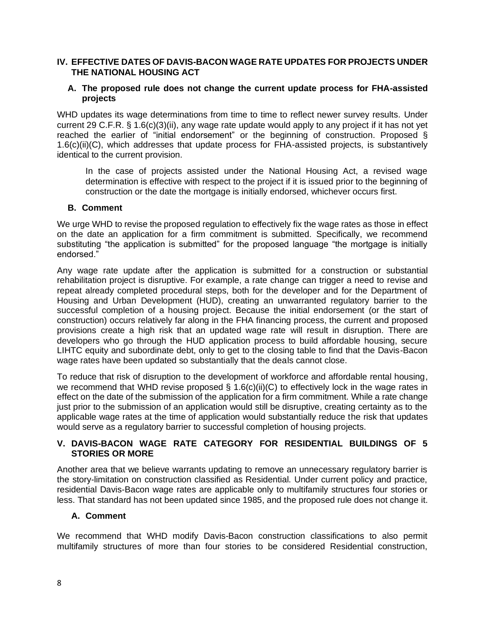### **IV. EFFECTIVE DATES OF DAVIS-BACON WAGE RATE UPDATES FOR PROJECTS UNDER THE NATIONAL HOUSING ACT**

#### **A. The proposed rule does not change the current update process for FHA-assisted projects**

WHD updates its wage determinations from time to time to reflect newer survey results. Under current 29 C.F.R. § 1.6(c)(3)(ii), any wage rate update would apply to any project if it has not yet reached the earlier of "initial endorsement" or the beginning of construction. Proposed § 1.6(c)(ii)(C), which addresses that update process for FHA-assisted projects, is substantively identical to the current provision.

In the case of projects assisted under the National Housing Act, a revised wage determination is effective with respect to the project if it is issued prior to the beginning of construction or the date the mortgage is initially endorsed, whichever occurs first.

#### **B. Comment**

We urge WHD to revise the proposed regulation to effectively fix the wage rates as those in effect on the date an application for a firm commitment is submitted. Specifically, we recommend substituting "the application is submitted" for the proposed language "the mortgage is initially endorsed."

Any wage rate update after the application is submitted for a construction or substantial rehabilitation project is disruptive. For example, a rate change can trigger a need to revise and repeat already completed procedural steps, both for the developer and for the Department of Housing and Urban Development (HUD), creating an unwarranted regulatory barrier to the successful completion of a housing project. Because the initial endorsement (or the start of construction) occurs relatively far along in the FHA financing process, the current and proposed provisions create a high risk that an updated wage rate will result in disruption. There are developers who go through the HUD application process to build affordable housing, secure LIHTC equity and subordinate debt, only to get to the closing table to find that the Davis-Bacon wage rates have been updated so substantially that the deals cannot close.

To reduce that risk of disruption to the development of workforce and affordable rental housing, we recommend that WHD revise proposed  $\S$  1.6(c)(ii)(C) to effectively lock in the wage rates in effect on the date of the submission of the application for a firm commitment. While a rate change just prior to the submission of an application would still be disruptive, creating certainty as to the applicable wage rates at the time of application would substantially reduce the risk that updates would serve as a regulatory barrier to successful completion of housing projects.

# **V. DAVIS-BACON WAGE RATE CATEGORY FOR RESIDENTIAL BUILDINGS OF 5 STORIES OR MORE**

Another area that we believe warrants updating to remove an unnecessary regulatory barrier is the story-limitation on construction classified as Residential. Under current policy and practice, residential Davis-Bacon wage rates are applicable only to multifamily structures four stories or less. That standard has not been updated since 1985, and the proposed rule does not change it.

# **A. Comment**

We recommend that WHD modify Davis-Bacon construction classifications to also permit multifamily structures of more than four stories to be considered Residential construction,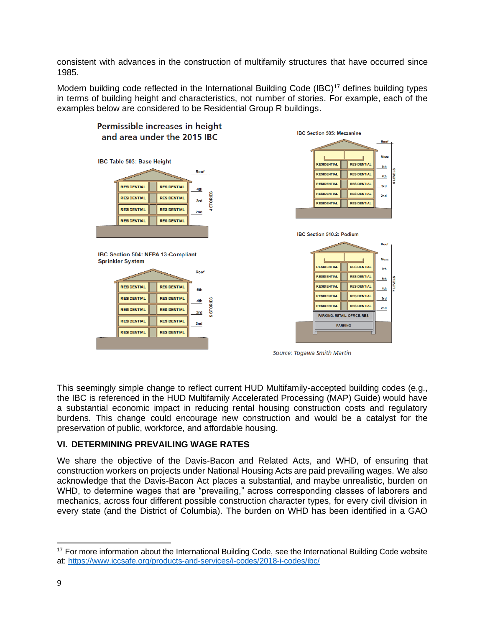consistent with advances in the construction of multifamily structures that have occurred since 1985.

Modern building code reflected in the International Building Code (IBC)<sup>17</sup> defines building types in terms of building height and characteristics, not number of stories. For example, each of the examples below are considered to be Residential Group R buildings.



This seemingly simple change to reflect current HUD Multifamily-accepted building codes (e.g., the IBC is referenced in the HUD Multifamily Accelerated Processing (MAP) Guide) would have a substantial economic impact in reducing rental housing construction costs and regulatory burdens. This change could encourage new construction and would be a catalyst for the preservation of public, workforce, and affordable housing.

# **VI. DETERMINING PREVAILING WAGE RATES**

We share the objective of the Davis-Bacon and Related Acts, and WHD, of ensuring that construction workers on projects under National Housing Acts are paid prevailing wages. We also acknowledge that the Davis-Bacon Act places a substantial, and maybe unrealistic, burden on WHD, to determine wages that are "prevailing," across corresponding classes of laborers and mechanics, across four different possible construction character types, for every civil division in every state (and the District of Columbia). The burden on WHD has been identified in a GAO

<sup>&</sup>lt;sup>17</sup> For more information about the International Building Code, see the International Building Code website at:<https://www.iccsafe.org/products-and-services/i-codes/2018-i-codes/ibc/>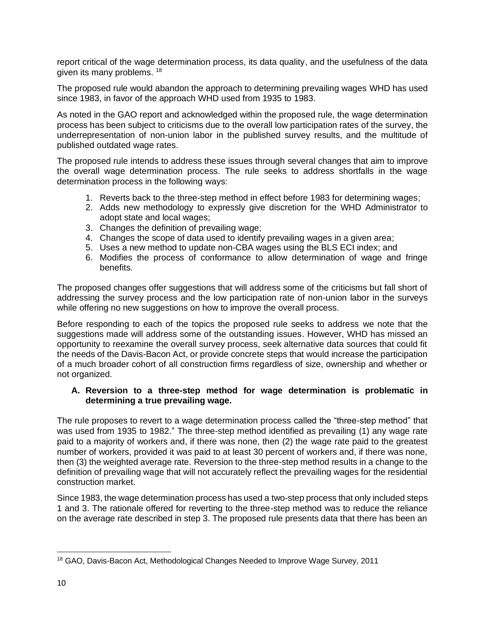report critical of the wage determination process, its data quality, and the usefulness of the data given its many problems. <sup>18</sup>

The proposed rule would abandon the approach to determining prevailing wages WHD has used since 1983, in favor of the approach WHD used from 1935 to 1983.

As noted in the GAO report and acknowledged within the proposed rule, the wage determination process has been subject to criticisms due to the overall low participation rates of the survey, the underrepresentation of non-union labor in the published survey results, and the multitude of published outdated wage rates.

The proposed rule intends to address these issues through several changes that aim to improve the overall wage determination process. The rule seeks to address shortfalls in the wage determination process in the following ways:

- 1. Reverts back to the three-step method in effect before 1983 for determining wages;
- 2. Adds new methodology to expressly give discretion for the WHD Administrator to adopt state and local wages;
- 3. Changes the definition of prevailing wage;
- 4. Changes the scope of data used to identify prevailing wages in a given area;
- 5. Uses a new method to update non-CBA wages using the BLS ECI index; and
- 6. Modifies the process of conformance to allow determination of wage and fringe benefits.

The proposed changes offer suggestions that will address some of the criticisms but fall short of addressing the survey process and the low participation rate of non-union labor in the surveys while offering no new suggestions on how to improve the overall process.

Before responding to each of the topics the proposed rule seeks to address we note that the suggestions made will address some of the outstanding issues. However, WHD has missed an opportunity to reexamine the overall survey process, seek alternative data sources that could fit the needs of the Davis-Bacon Act, or provide concrete steps that would increase the participation of a much broader cohort of all construction firms regardless of size, ownership and whether or not organized.

# **A. Reversion to a three-step method for wage determination is problematic in determining a true prevailing wage.**

The rule proposes to revert to a wage determination process called the "three-step method" that was used from 1935 to 1982." The three-step method identified as prevailing (1) any wage rate paid to a majority of workers and, if there was none, then (2) the wage rate paid to the greatest number of workers, provided it was paid to at least 30 percent of workers and, if there was none, then (3) the weighted average rate. Reversion to the three-step method results in a change to the definition of prevailing wage that will not accurately reflect the prevailing wages for the residential construction market.

Since 1983, the wage determination process has used a two-step process that only included steps 1 and 3. The rationale offered for reverting to the three-step method was to reduce the reliance on the average rate described in step 3. The proposed rule presents data that there has been an

<sup>&</sup>lt;sup>18</sup> GAO, Davis-Bacon Act, Methodological Changes Needed to Improve Wage Survey, 2011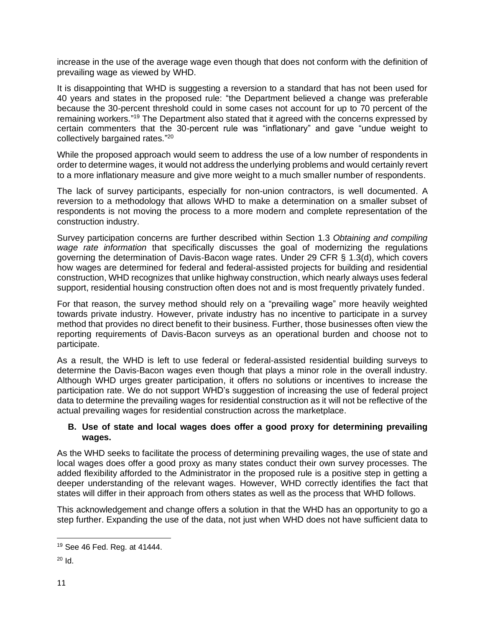increase in the use of the average wage even though that does not conform with the definition of prevailing wage as viewed by WHD.

It is disappointing that WHD is suggesting a reversion to a standard that has not been used for 40 years and states in the proposed rule: "the Department believed a change was preferable because the 30-percent threshold could in some cases not account for up to 70 percent of the remaining workers."<sup>19</sup> The Department also stated that it agreed with the concerns expressed by certain commenters that the 30-percent rule was "inflationary" and gave "undue weight to collectively bargained rates."<sup>20</sup>

While the proposed approach would seem to address the use of a low number of respondents in order to determine wages, it would not address the underlying problems and would certainly revert to a more inflationary measure and give more weight to a much smaller number of respondents.

The lack of survey participants, especially for non-union contractors, is well documented. A reversion to a methodology that allows WHD to make a determination on a smaller subset of respondents is not moving the process to a more modern and complete representation of the construction industry.

Survey participation concerns are further described within Section 1.3 *Obtaining and compiling wage rate information* that specifically discusses the goal of modernizing the regulations governing the determination of Davis-Bacon wage rates. Under 29 CFR § 1.3(d), which covers how wages are determined for federal and federal-assisted projects for building and residential construction, WHD recognizes that unlike highway construction, which nearly always uses federal support, residential housing construction often does not and is most frequently privately funded.

For that reason, the survey method should rely on a "prevailing wage" more heavily weighted towards private industry. However, private industry has no incentive to participate in a survey method that provides no direct benefit to their business. Further, those businesses often view the reporting requirements of Davis-Bacon surveys as an operational burden and choose not to participate.

As a result, the WHD is left to use federal or federal-assisted residential building surveys to determine the Davis-Bacon wages even though that plays a minor role in the overall industry. Although WHD urges greater participation, it offers no solutions or incentives to increase the participation rate. We do not support WHD's suggestion of increasing the use of federal project data to determine the prevailing wages for residential construction as it will not be reflective of the actual prevailing wages for residential construction across the marketplace.

# **B. Use of state and local wages does offer a good proxy for determining prevailing wages.**

As the WHD seeks to facilitate the process of determining prevailing wages, the use of state and local wages does offer a good proxy as many states conduct their own survey processes. The added flexibility afforded to the Administrator in the proposed rule is a positive step in getting a deeper understanding of the relevant wages. However, WHD correctly identifies the fact that states will differ in their approach from others states as well as the process that WHD follows.

This acknowledgement and change offers a solution in that the WHD has an opportunity to go a step further. Expanding the use of the data, not just when WHD does not have sufficient data to

<sup>19</sup> See 46 Fed. Reg. at 41444.

 $20 \text{ Id}$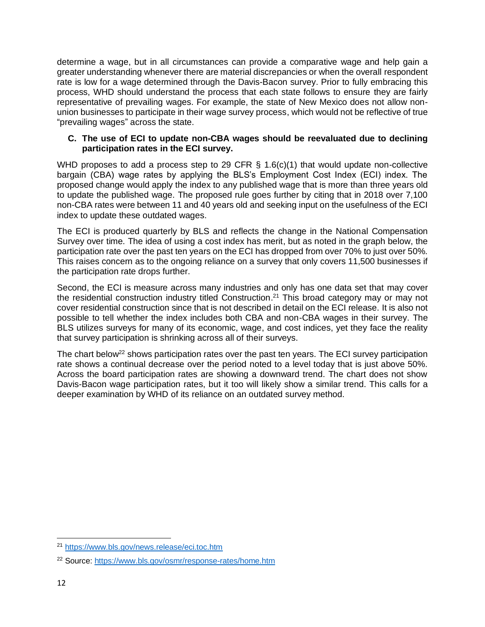determine a wage, but in all circumstances can provide a comparative wage and help gain a greater understanding whenever there are material discrepancies or when the overall respondent rate is low for a wage determined through the Davis-Bacon survey. Prior to fully embracing this process, WHD should understand the process that each state follows to ensure they are fairly representative of prevailing wages. For example, the state of New Mexico does not allow nonunion businesses to participate in their wage survey process, which would not be reflective of true "prevailing wages" across the state.

# **C. The use of ECI to update non-CBA wages should be reevaluated due to declining participation rates in the ECI survey.**

WHD proposes to add a process step to 29 CFR § 1.6(c)(1) that would update non-collective bargain (CBA) wage rates by applying the BLS's Employment Cost Index (ECI) index. The proposed change would apply the index to any published wage that is more than three years old to update the published wage. The proposed rule goes further by citing that in 2018 over 7,100 non-CBA rates were between 11 and 40 years old and seeking input on the usefulness of the ECI index to update these outdated wages.

The ECI is produced quarterly by BLS and reflects the change in the National Compensation Survey over time. The idea of using a cost index has merit, but as noted in the graph below, the participation rate over the past ten years on the ECI has dropped from over 70% to just over 50%. This raises concern as to the ongoing reliance on a survey that only covers 11,500 businesses if the participation rate drops further.

Second, the ECI is measure across many industries and only has one data set that may cover the residential construction industry titled Construction.<sup>21</sup> This broad category may or may not cover residential construction since that is not described in detail on the ECI release. It is also not possible to tell whether the index includes both CBA and non-CBA wages in their survey. The BLS utilizes surveys for many of its economic, wage, and cost indices, yet they face the reality that survey participation is shrinking across all of their surveys.

The chart below<sup>22</sup> shows participation rates over the past ten years. The ECI survey participation rate shows a continual decrease over the period noted to a level today that is just above 50%. Across the board participation rates are showing a downward trend. The chart does not show Davis-Bacon wage participation rates, but it too will likely show a similar trend. This calls for a deeper examination by WHD of its reliance on an outdated survey method.

<sup>21</sup> <https://www.bls.gov/news.release/eci.toc.htm>

<sup>22</sup> Source:<https://www.bls.gov/osmr/response-rates/home.htm>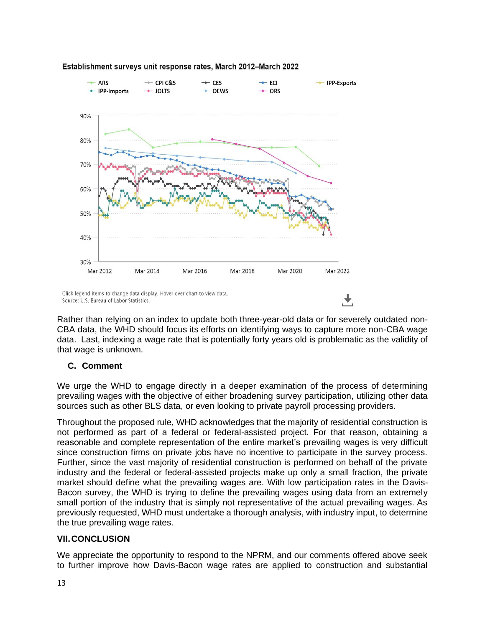

#### Establishment surveys unit response rates, March 2012-March 2022

Rather than relying on an index to update both three-year-old data or for severely outdated non-CBA data, the WHD should focus its efforts on identifying ways to capture more non-CBA wage data. Last, indexing a wage rate that is potentially forty years old is problematic as the validity of that wage is unknown.

# **C. Comment**

We urge the WHD to engage directly in a deeper examination of the process of determining prevailing wages with the objective of either broadening survey participation, utilizing other data sources such as other BLS data, or even looking to private payroll processing providers.

Throughout the proposed rule, WHD acknowledges that the majority of residential construction is not performed as part of a federal or federal-assisted project. For that reason, obtaining a reasonable and complete representation of the entire market's prevailing wages is very difficult since construction firms on private jobs have no incentive to participate in the survey process. Further, since the vast majority of residential construction is performed on behalf of the private industry and the federal or federal-assisted projects make up only a small fraction, the private market should define what the prevailing wages are. With low participation rates in the Davis-Bacon survey, the WHD is trying to define the prevailing wages using data from an extremely small portion of the industry that is simply not representative of the actual prevailing wages. As previously requested, WHD must undertake a thorough analysis, with industry input, to determine the true prevailing wage rates.

# **VII.CONCLUSION**

We appreciate the opportunity to respond to the NPRM, and our comments offered above seek to further improve how Davis-Bacon wage rates are applied to construction and substantial